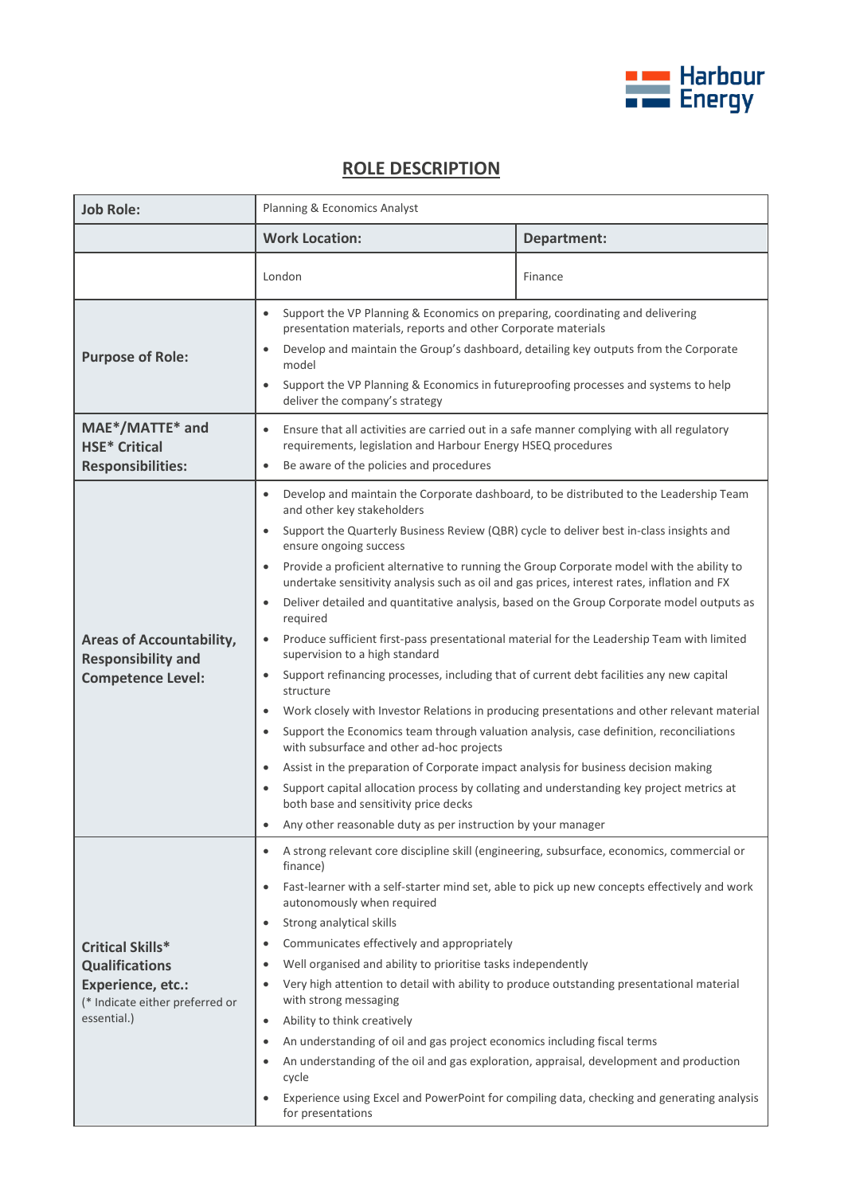

## **ROLE DESCRIPTION**

| <b>Job Role:</b>                                                                                                               | Planning & Economics Analyst                                                                                                                                                                                                                                                                                                                                                                                                                                                                                                                                                                                                                                                                                                                                                                                                                                                                                                                                                                                                                                                                                                                                                                                                                                                                                                                                                                 |                    |
|--------------------------------------------------------------------------------------------------------------------------------|----------------------------------------------------------------------------------------------------------------------------------------------------------------------------------------------------------------------------------------------------------------------------------------------------------------------------------------------------------------------------------------------------------------------------------------------------------------------------------------------------------------------------------------------------------------------------------------------------------------------------------------------------------------------------------------------------------------------------------------------------------------------------------------------------------------------------------------------------------------------------------------------------------------------------------------------------------------------------------------------------------------------------------------------------------------------------------------------------------------------------------------------------------------------------------------------------------------------------------------------------------------------------------------------------------------------------------------------------------------------------------------------|--------------------|
|                                                                                                                                | <b>Work Location:</b>                                                                                                                                                                                                                                                                                                                                                                                                                                                                                                                                                                                                                                                                                                                                                                                                                                                                                                                                                                                                                                                                                                                                                                                                                                                                                                                                                                        | <b>Department:</b> |
|                                                                                                                                | London                                                                                                                                                                                                                                                                                                                                                                                                                                                                                                                                                                                                                                                                                                                                                                                                                                                                                                                                                                                                                                                                                                                                                                                                                                                                                                                                                                                       | Finance            |
| <b>Purpose of Role:</b>                                                                                                        | Support the VP Planning & Economics on preparing, coordinating and delivering<br>$\bullet$<br>presentation materials, reports and other Corporate materials<br>Develop and maintain the Group's dashboard, detailing key outputs from the Corporate<br>$\bullet$<br>model<br>Support the VP Planning & Economics in futureproofing processes and systems to help<br>$\bullet$<br>deliver the company's strategy                                                                                                                                                                                                                                                                                                                                                                                                                                                                                                                                                                                                                                                                                                                                                                                                                                                                                                                                                                              |                    |
| MAE*/MATTE* and<br><b>HSE* Critical</b><br><b>Responsibilities:</b>                                                            | Ensure that all activities are carried out in a safe manner complying with all regulatory<br>$\bullet$<br>requirements, legislation and Harbour Energy HSEQ procedures<br>Be aware of the policies and procedures<br>$\bullet$                                                                                                                                                                                                                                                                                                                                                                                                                                                                                                                                                                                                                                                                                                                                                                                                                                                                                                                                                                                                                                                                                                                                                               |                    |
| <b>Areas of Accountability,</b><br><b>Responsibility and</b><br><b>Competence Level:</b>                                       | Develop and maintain the Corporate dashboard, to be distributed to the Leadership Team<br>$\bullet$<br>and other key stakeholders<br>Support the Quarterly Business Review (QBR) cycle to deliver best in-class insights and<br>$\bullet$<br>ensure ongoing success<br>Provide a proficient alternative to running the Group Corporate model with the ability to<br>$\bullet$<br>undertake sensitivity analysis such as oil and gas prices, interest rates, inflation and FX<br>Deliver detailed and quantitative analysis, based on the Group Corporate model outputs as<br>$\bullet$<br>required<br>Produce sufficient first-pass presentational material for the Leadership Team with limited<br>$\bullet$<br>supervision to a high standard<br>Support refinancing processes, including that of current debt facilities any new capital<br>$\bullet$<br>structure<br>Work closely with Investor Relations in producing presentations and other relevant material<br>$\bullet$<br>Support the Economics team through valuation analysis, case definition, reconciliations<br>$\bullet$<br>with subsurface and other ad-hoc projects<br>Assist in the preparation of Corporate impact analysis for business decision making<br>$\bullet$<br>Support capital allocation process by collating and understanding key project metrics at<br>$\bullet$<br>both base and sensitivity price decks |                    |
| <b>Critical Skills*</b><br><b>Qualifications</b><br><b>Experience, etc.:</b><br>(* Indicate either preferred or<br>essential.) | Any other reasonable duty as per instruction by your manager<br>A strong relevant core discipline skill (engineering, subsurface, economics, commercial or<br>finance)<br>Fast-learner with a self-starter mind set, able to pick up new concepts effectively and work<br>$\bullet$<br>autonomously when required<br>Strong analytical skills<br>$\bullet$<br>Communicates effectively and appropriately<br>٠<br>Well organised and ability to prioritise tasks independently<br>$\bullet$<br>Very high attention to detail with ability to produce outstanding presentational material<br>$\bullet$<br>with strong messaging<br>Ability to think creatively<br>٠<br>An understanding of oil and gas project economics including fiscal terms<br>$\bullet$<br>An understanding of the oil and gas exploration, appraisal, development and production<br>cycle<br>Experience using Excel and PowerPoint for compiling data, checking and generating analysis<br>٠<br>for presentations                                                                                                                                                                                                                                                                                                                                                                                                        |                    |